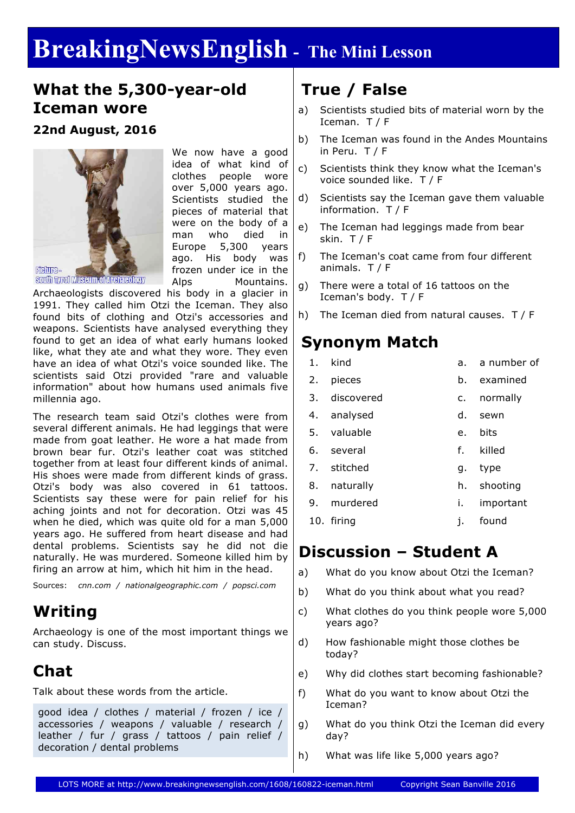# **BreakingNewsEnglish - The Mini Lesson**

#### **What the 5,300-year-old Iceman wore**

#### **22nd August, 2016**



We now have a good idea of what kind of clothes people wore over 5,000 years ago. Scientists studied the pieces of material that were on the body of a man who died in Europe 5,300 years ago. His body was frozen under ice in the Alps Mountains.

Archaeologists discovered his body in a glacier in 1991. They called him Otzi the Iceman. They also found bits of clothing and Otzi's accessories and weapons. Scientists have analysed everything they found to get an idea of what early humans looked like, what they ate and what they wore. They even have an idea of what Otzi's voice sounded like. The scientists said Otzi provided "rare and valuable information" about how humans used animals five millennia ago.

The research team said Otzi's clothes were from several different animals. He had leggings that were made from goat leather. He wore a hat made from brown bear fur. Otzi's leather coat was stitched together from at least four different kinds of animal. His shoes were made from different kinds of grass. Otzi's body was also covered in 61 tattoos. Scientists say these were for pain relief for his aching joints and not for decoration. Otzi was 45 when he died, which was quite old for a man 5,000 years ago. He suffered from heart disease and had dental problems. Scientists say he did not die naturally. He was murdered. Someone killed him by firing an arrow at him, which hit him in the head.

Sources: *cnn.com / nationalgeographic.com / popsci.com*

### **Writing**

Archaeology is one of the most important things we can study. Discuss.

### **Chat**

Talk about these words from the article.

good idea / clothes / material / frozen / ice / accessories / weapons / valuable / research / leather / fur / grass / tattoos / pain relief / decoration / dental problems

### **True / False**

- a) Scientists studied bits of material worn by the Iceman. T / F
- b) The Iceman was found in the Andes Mountains in Peru. T / F
- c) Scientists think they know what the Iceman's voice sounded like. T / F
- d) Scientists say the Iceman gave them valuable information. T / F
- e) The Iceman had leggings made from bear skin. T / F
- f) The Iceman's coat came from four different animals. T / F
- g) There were a total of 16 tattoos on the Iceman's body. T / F
- h) The Iceman died from natural causes. T / F

### **Synonym Match**

1. kind

- a. a number of
- 2. pieces b. examined
- 3. discovered c. normally
- 4. analysed d. sewn
- 5. valuable e. bits
- 6. several f. killed
- 7. stitched g. type
- 8. naturally h. shooting
- 9. murdered i. important
- 
- 10. firing j. found

#### **Discussion – Student A**

- a) What do you know about Otzi the Iceman?
- b) What do you think about what you read?
- c) What clothes do you think people wore 5,000 years ago?
- d) How fashionable might those clothes be today?
- e) Why did clothes start becoming fashionable?
- f) What do you want to know about Otzi the Iceman?
- g) What do you think Otzi the Iceman did every day?
- h) What was life like 5,000 years ago?